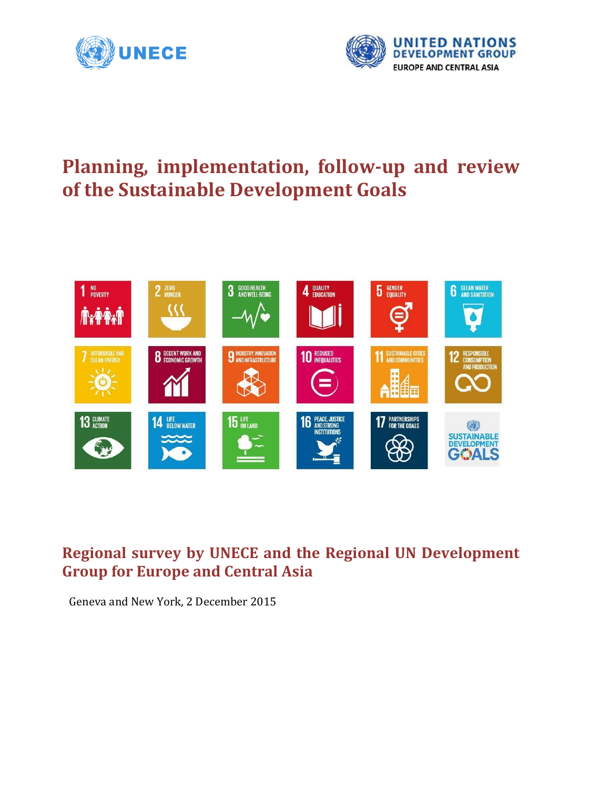



# **Planning, implementation, follow-up and review of the Sustainable Development Goals**



# **Regional survey by UNECE and the Regional UN Development Group for Europe and Central Asia**

Geneva and New York, 2 December 2015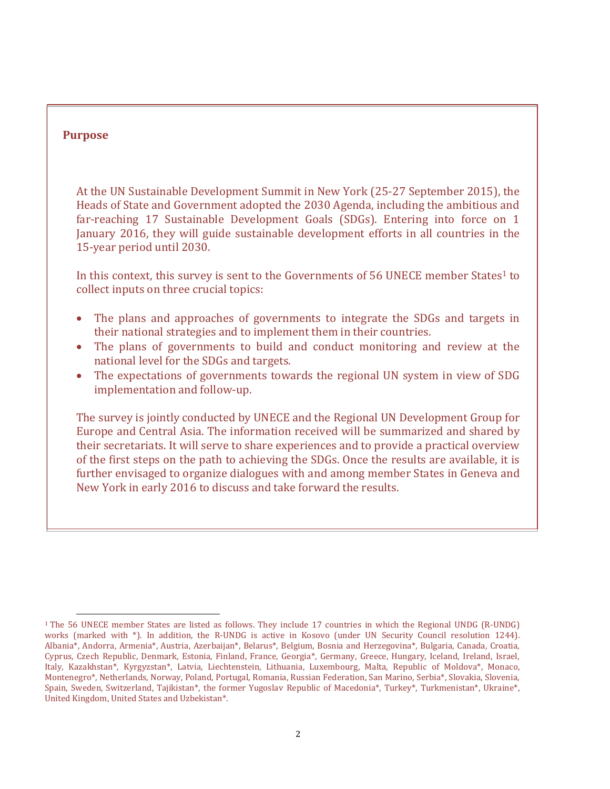### **Purpose**

 $\overline{\phantom{a}}$ 

At the UN Sustainable Development Summit in New York (25-27 September 2015), the Heads of State and Government adopted the 2030 Agenda, including the ambitious and far-reaching 17 Sustainable Development Goals (SDGs). Entering into force on 1 January 2016, they will guide sustainable development efforts in all countries in the 15-year period until 2030.

In this context, this survey is sent to the Governments of 56 UNECE member States<sup>1</sup> to collect inputs on three crucial topics:

- The plans and approaches of governments to integrate the SDGs and targets in their national strategies and to implement them in their countries.
- The plans of governments to build and conduct monitoring and review at the national level for the SDGs and targets.
- The expectations of governments towards the regional UN system in view of SDG implementation and follow-up.

The survey is jointly conducted by UNECE and the Regional UN Development Group for Europe and Central Asia. The information received will be summarized and shared by their secretariats. It will serve to share experiences and to provide a practical overview of the first steps on the path to achieving the SDGs. Once the results are available, it is further envisaged to organize dialogues with and among member States in Geneva and New York in early 2016 to discuss and take forward the results.

<sup>1</sup> The 56 UNECE member States are listed as follows. They include 17 countries in which the Regional UNDG (R-UNDG) works (marked with \*). In addition, the R-UNDG is active in Kosovo (under UN Security Council resolution 1244). Albania\*, Andorra, Armenia\*, Austria, Azerbaijan\*, Belarus\*, Belgium, Bosnia and Herzegovina\*, Bulgaria, Canada, Croatia, Cyprus, Czech Republic, Denmark, Estonia, Finland, France, Georgia\*, Germany, Greece, Hungary, Iceland, Ireland, Israel, Italy, Kazakhstan\*, Kyrgyzstan\*, Latvia, Liechtenstein, Lithuania, Luxembourg, Malta, Republic of Moldova\*, Monaco, Montenegro\*, Netherlands, Norway, Poland, Portugal, Romania, Russian Federation, San Marino, Serbia\*, Slovakia, Slovenia, Spain, Sweden, Switzerland, Tajikistan\*, the former Yugoslav Republic of Macedonia\*, Turkey\*, Turkmenistan\*, Ukraine\*, United Kingdom, United States and Uzbekistan\*.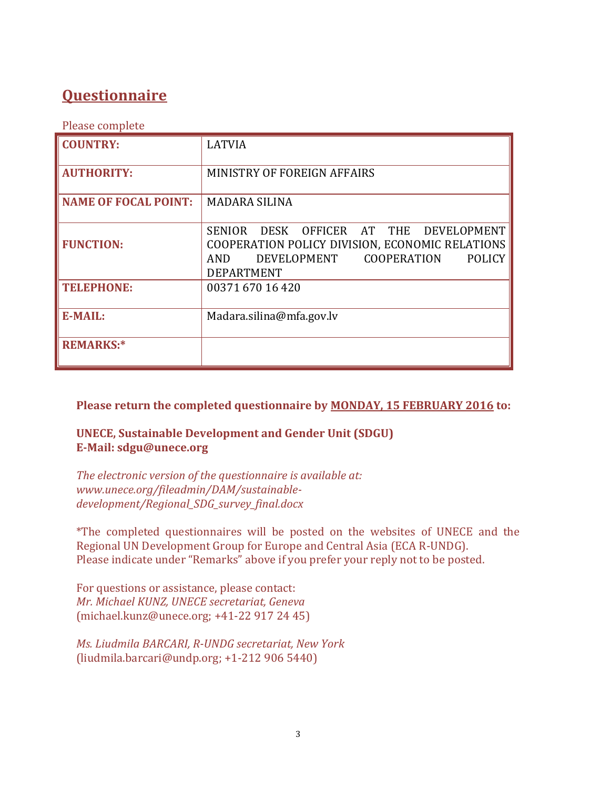# **Questionnaire**

Please complete

| <b>COUNTRY:</b>             | <b>LATVIA</b>                                                                                                                                                                               |
|-----------------------------|---------------------------------------------------------------------------------------------------------------------------------------------------------------------------------------------|
| <b>AUTHORITY:</b>           | MINISTRY OF FOREIGN AFFAIRS                                                                                                                                                                 |
| <b>NAME OF FOCAL POINT:</b> | <b>MADARA SILINA</b>                                                                                                                                                                        |
| <b>FUNCTION:</b>            | OFFICER AT THE<br>DEVELOPMENT<br><b>SENIOR</b><br>DESK<br>COOPERATION POLICY DIVISION, ECONOMIC RELATIONS<br><b>COOPERATION</b><br>DEVELOPMENT<br><b>POLICY</b><br>AND<br><b>DEPARTMENT</b> |
| <b>TELEPHONE:</b>           | 00371 670 16 420                                                                                                                                                                            |
| <b>E-MAIL:</b>              | Madara.silina@mfa.gov.lv                                                                                                                                                                    |
| <b>REMARKS:*</b>            |                                                                                                                                                                                             |

**Please return the completed questionnaire by MONDAY, 15 FEBRUARY 2016 to:**

**UNECE, Sustainable Development and Gender Unit (SDGU) E-Mail: sdgu@unece.org**

*The electronic version of the questionnaire is available at: www.unece.org/fileadmin/DAM/sustainabledevelopment/Regional\_SDG\_survey\_final.docx*

\*The completed questionnaires will be posted on the websites of UNECE and the Regional UN Development Group for Europe and Central Asia (ECA R-UNDG). Please indicate under "Remarks" above if you prefer your reply not to be posted.

For questions or assistance, please contact: *Mr. Michael KUNZ, UNECE secretariat, Geneva*  [\(michael.kunz@unece.org;](mailto:michael.kunz@unece.org) +41-22 917 24 45)

*Ms. Liudmila BARCARI, R-UNDG secretariat, New York*  [\(liudmila.barcari@undp.org;](mailto:liudmila.barcari@undp.org) +1-212 906 5440)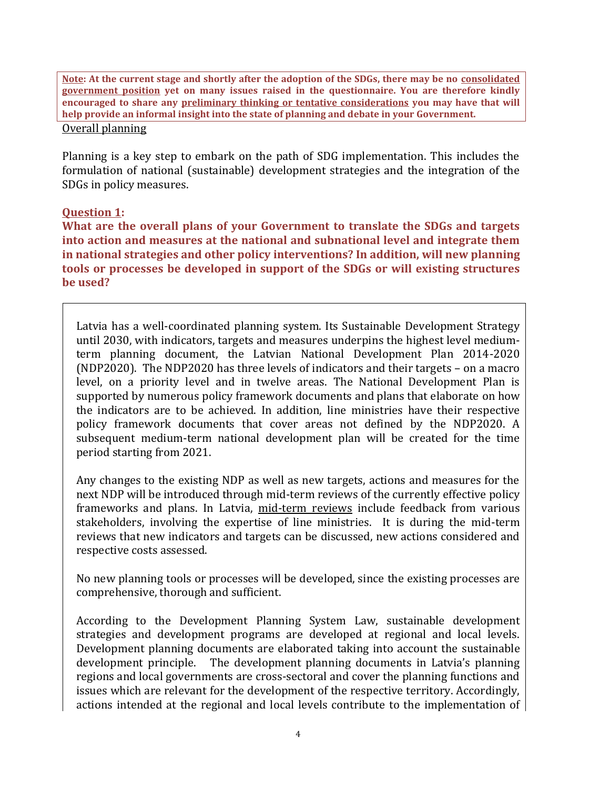**Note: At the current stage and shortly after the adoption of the SDGs, there may be no consolidated government position yet on many issues raised in the questionnaire. You are therefore kindly encouraged to share any preliminary thinking or tentative considerations you may have that will help provide an informal insight into the state of planning and debate in your Government.** 

#### Overall planning

Planning is a key step to embark on the path of SDG implementation. This includes the formulation of national (sustainable) development strategies and the integration of the SDGs in policy measures.

# **Question 1:**

**What are the overall plans of your Government to translate the SDGs and targets into action and measures at the national and subnational level and integrate them in national strategies and other policy interventions? In addition, will new planning tools or processes be developed in support of the SDGs or will existing structures be used?**

Latvia has a well-coordinated planning system. Its Sustainable Development Strategy until 2030, with indicators, targets and measures underpins the highest level mediumterm planning document, the Latvian National Development Plan 2014-2020 (NDP2020). The NDP2020 has three levels of indicators and their targets – on a macro level, on a priority level and in twelve areas. The National Development Plan is supported by numerous policy framework documents and plans that elaborate on how the indicators are to be achieved. In addition, line ministries have their respective policy framework documents that cover areas not defined by the NDP2020. A subsequent medium-term national development plan will be created for the time period starting from 2021.

Any changes to the existing NDP as well as new targets, actions and measures for the next NDP will be introduced through mid-term reviews of the currently effective policy frameworks and plans. In Latvia, mid-term reviews include feedback from various stakeholders, involving the expertise of line ministries. It is during the mid-term reviews that new indicators and targets can be discussed, new actions considered and respective costs assessed.

No new planning tools or processes will be developed, since the existing processes are comprehensive, thorough and sufficient.

According to the Development Planning System Law, sustainable development strategies and development programs are developed at regional and local levels. Development planning documents are elaborated taking into account the sustainable development principle. The development planning documents in Latvia's planning regions and local governments are cross-sectoral and cover the planning functions and issues which are relevant for the development of the respective territory. Accordingly, actions intended at the regional and local levels contribute to the implementation of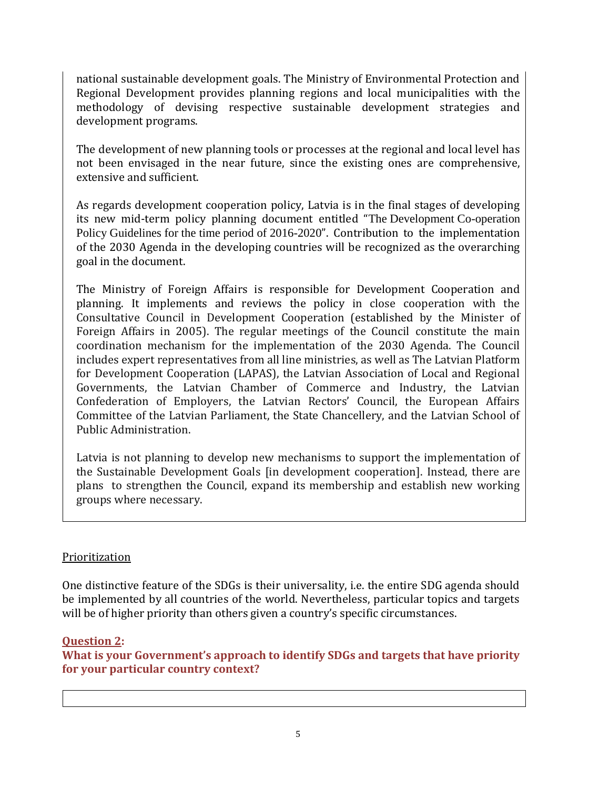national sustainable development goals. The Ministry of Environmental Protection and Regional Development provides planning regions and local municipalities with the methodology of devising respective sustainable development strategies and development programs.

The development of new planning tools or processes at the regional and local level has not been envisaged in the near future, since the existing ones are comprehensive, extensive and sufficient.

As regards development cooperation policy, Latvia is in the final stages of developing its new mid-term policy planning document entitled "The Development Co-operation Policy Guidelines for the time period of 2016-2020". Contribution to the implementation of the 2030 Agenda in the developing countries will be recognized as the overarching goal in the document.

The Ministry of Foreign Affairs is responsible for Development Cooperation and planning. It implements and reviews the policy in close cooperation with the Consultative Council in Development Cooperation (established by the Minister of Foreign Affairs in 2005). The regular meetings of the Council constitute the main coordination mechanism for the implementation of the 2030 Agenda. The Council includes expert representatives from all line ministries, as well as The Latvian Platform for Development Cooperation (LAPAS), the Latvian Association of Local and Regional Governments, the Latvian Chamber of Commerce and Industry, the Latvian Confederation of Employers, the Latvian Rectors' Council, the European Affairs Committee of the Latvian Parliament, the State Chancellery, and the Latvian School of Public Administration.

Latvia is not planning to develop new mechanisms to support the implementation of the Sustainable Development Goals [in development cooperation]. Instead, there are plans to strengthen the Council, expand its membership and establish new working groups where necessary.

# Prioritization

One distinctive feature of the SDGs is their universality, i.e. the entire SDG agenda should be implemented by all countries of the world. Nevertheless, particular topics and targets will be of higher priority than others given a country's specific circumstances.

# **Question 2:**

**What is your Government's approach to identify SDGs and targets that have priority for your particular country context?**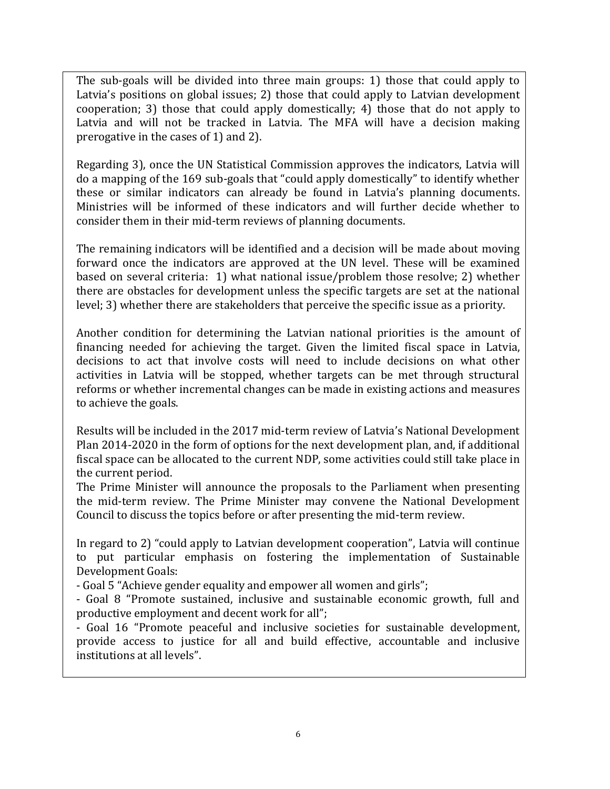The sub-goals will be divided into three main groups: 1) those that could apply to Latvia's positions on global issues; 2) those that could apply to Latvian development cooperation; 3) those that could apply domestically; 4) those that do not apply to Latvia and will not be tracked in Latvia. The MFA will have a decision making prerogative in the cases of 1) and 2).

Regarding 3), once the UN Statistical Commission approves the indicators, Latvia will do a mapping of the 169 sub-goals that "could apply domestically" to identify whether these or similar indicators can already be found in Latvia's planning documents. Ministries will be informed of these indicators and will further decide whether to consider them in their mid-term reviews of planning documents.

The remaining indicators will be identified and a decision will be made about moving forward once the indicators are approved at the UN level. These will be examined based on several criteria: 1) what national issue/problem those resolve; 2) whether there are obstacles for development unless the specific targets are set at the national level; 3) whether there are stakeholders that perceive the specific issue as a priority.

Another condition for determining the Latvian national priorities is the amount of financing needed for achieving the target. Given the limited fiscal space in Latvia, decisions to act that involve costs will need to include decisions on what other activities in Latvia will be stopped, whether targets can be met through structural reforms or whether incremental changes can be made in existing actions and measures to achieve the goals.

Results will be included in the 2017 mid-term review of Latvia's National Development Plan 2014-2020 in the form of options for the next development plan, and, if additional fiscal space can be allocated to the current NDP, some activities could still take place in the current period.

The Prime Minister will announce the proposals to the Parliament when presenting the mid-term review. The Prime Minister may convene the National Development Council to discuss the topics before or after presenting the mid-term review.

In regard to 2) "could apply to Latvian development cooperation", Latvia will continue to put particular emphasis on fostering the implementation of Sustainable Development Goals:

- Goal 5 "Achieve gender equality and empower all women and girls";

- Goal 8 "Promote sustained, inclusive and sustainable economic growth, full and productive employment and decent work for all";

- Goal 16 "Promote peaceful and inclusive societies for sustainable development, provide access to justice for all and build effective, accountable and inclusive institutions at all levels".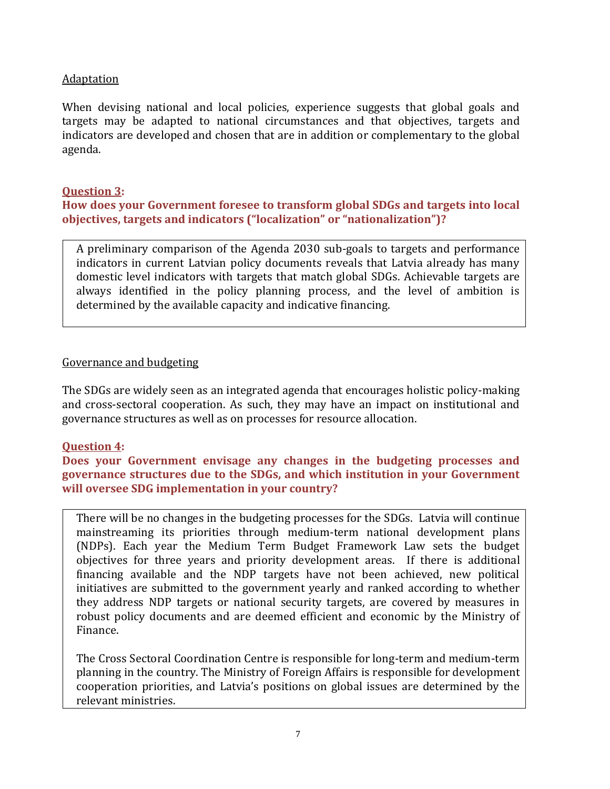# **Adaptation**

When devising national and local policies, experience suggests that global goals and targets may be adapted to national circumstances and that objectives, targets and indicators are developed and chosen that are in addition or complementary to the global agenda.

# **Question 3:**

**How does your Government foresee to transform global SDGs and targets into local objectives, targets and indicators ("localization" or "nationalization")?** 

A preliminary comparison of the Agenda 2030 sub-goals to targets and performance indicators in current Latvian policy documents reveals that Latvia already has many domestic level indicators with targets that match global SDGs. Achievable targets are always identified in the policy planning process, and the level of ambition is determined by the available capacity and indicative financing.

# Governance and budgeting

The SDGs are widely seen as an integrated agenda that encourages holistic policy-making and cross-sectoral cooperation. As such, they may have an impact on institutional and governance structures as well as on processes for resource allocation.

# **Question 4:**

**Does your Government envisage any changes in the budgeting processes and governance structures due to the SDGs, and which institution in your Government will oversee SDG implementation in your country?** 

There will be no changes in the budgeting processes for the SDGs. Latvia will continue mainstreaming its priorities through medium-term national development plans (NDPs). Each year the Medium Term Budget Framework Law sets the budget objectives for three years and priority development areas. If there is additional financing available and the NDP targets have not been achieved, new political initiatives are submitted to the government yearly and ranked according to whether they address NDP targets or national security targets, are covered by measures in robust policy documents and are deemed efficient and economic by the Ministry of Finance.

The Cross Sectoral Coordination Centre is responsible for long-term and medium-term planning in the country. The Ministry of Foreign Affairs is responsible for development cooperation priorities, and Latvia's positions on global issues are determined by the relevant ministries.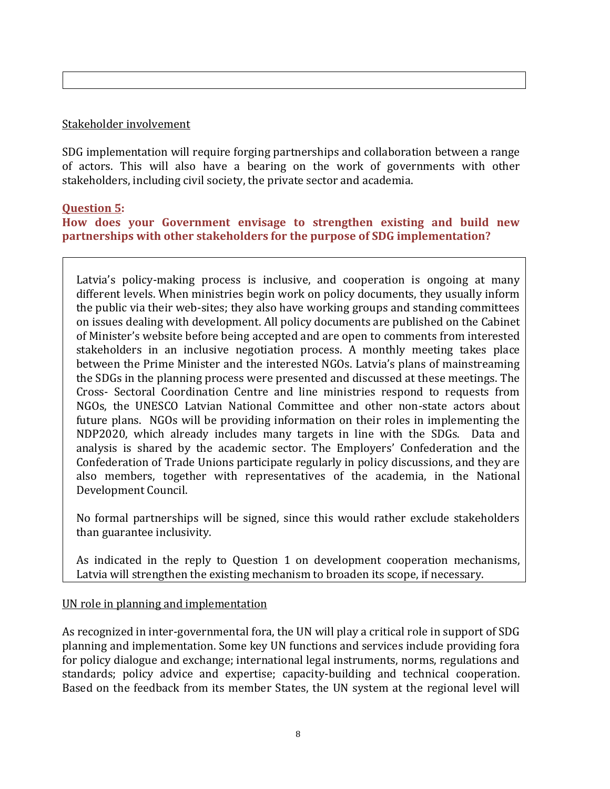#### Stakeholder involvement

SDG implementation will require forging partnerships and collaboration between a range of actors. This will also have a bearing on the work of governments with other stakeholders, including civil society, the private sector and academia.

# **Question 5:**

# **How does your Government envisage to strengthen existing and build new partnerships with other stakeholders for the purpose of SDG implementation?**

Latvia's policy-making process is inclusive, and cooperation is ongoing at many different levels. When ministries begin work on policy documents, they usually inform the public via their web-sites; they also have working groups and standing committees on issues dealing with development. All policy documents are published on the Cabinet of Minister's website before being accepted and are open to comments from interested stakeholders in an inclusive negotiation process. A monthly meeting takes place between the Prime Minister and the interested NGOs. Latvia's plans of mainstreaming the SDGs in the planning process were presented and discussed at these meetings. The Cross- Sectoral Coordination Centre and line ministries respond to requests from NGOs, the UNESCO Latvian National Committee and other non-state actors about future plans. NGOs will be providing information on their roles in implementing the NDP2020, which already includes many targets in line with the SDGs. Data and analysis is shared by the academic sector. The Employers' Confederation and the Confederation of Trade Unions participate regularly in policy discussions, and they are also members, together with representatives of the academia, in the National Development Council.

No formal partnerships will be signed, since this would rather exclude stakeholders than guarantee inclusivity.

As indicated in the reply to Question 1 on development cooperation mechanisms, Latvia will strengthen the existing mechanism to broaden its scope, if necessary.

#### UN role in planning and implementation

As recognized in inter-governmental fora, the UN will play a critical role in support of SDG planning and implementation. Some key UN functions and services include providing fora for policy dialogue and exchange; international legal instruments, norms, regulations and standards; policy advice and expertise; capacity-building and technical cooperation. Based on the feedback from its member States, the UN system at the regional level will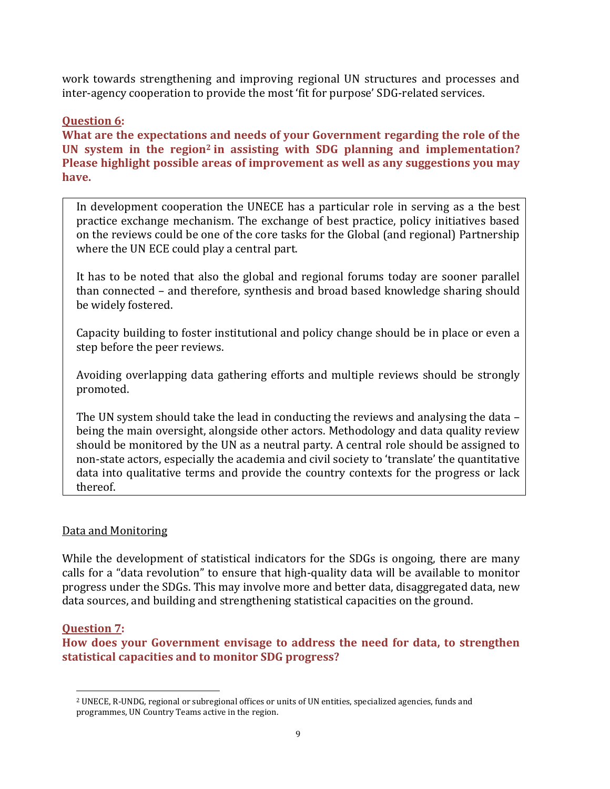work towards strengthening and improving regional UN structures and processes and inter-agency cooperation to provide the most 'fit for purpose' SDG-related services.

# **Question 6:**

**What are the expectations and needs of your Government regarding the role of the UN system in the region<sup>2</sup> in assisting with SDG planning and implementation? Please highlight possible areas of improvement as well as any suggestions you may have.** 

In development cooperation the UNECE has a particular role in serving as a the best practice exchange mechanism. The exchange of best practice, policy initiatives based on the reviews could be one of the core tasks for the Global (and regional) Partnership where the UN ECE could play a central part.

It has to be noted that also the global and regional forums today are sooner parallel than connected – and therefore, synthesis and broad based knowledge sharing should be widely fostered.

Capacity building to foster institutional and policy change should be in place or even a step before the peer reviews.

Avoiding overlapping data gathering efforts and multiple reviews should be strongly promoted.

The UN system should take the lead in conducting the reviews and analysing the data – being the main oversight, alongside other actors. Methodology and data quality review should be monitored by the UN as a neutral party. A central role should be assigned to non-state actors, especially the academia and civil society to 'translate' the quantitative data into qualitative terms and provide the country contexts for the progress or lack thereof.

# Data and Monitoring

While the development of statistical indicators for the SDGs is ongoing, there are many calls for a "data revolution" to ensure that high-quality data will be available to monitor progress under the SDGs. This may involve more and better data, disaggregated data, new data sources, and building and strengthening statistical capacities on the ground.

# **Question 7:**

l

**How does your Government envisage to address the need for data, to strengthen statistical capacities and to monitor SDG progress?** 

<sup>2</sup> UNECE, R-UNDG, regional or subregional offices or units of UN entities, specialized agencies, funds and programmes, UN Country Teams active in the region.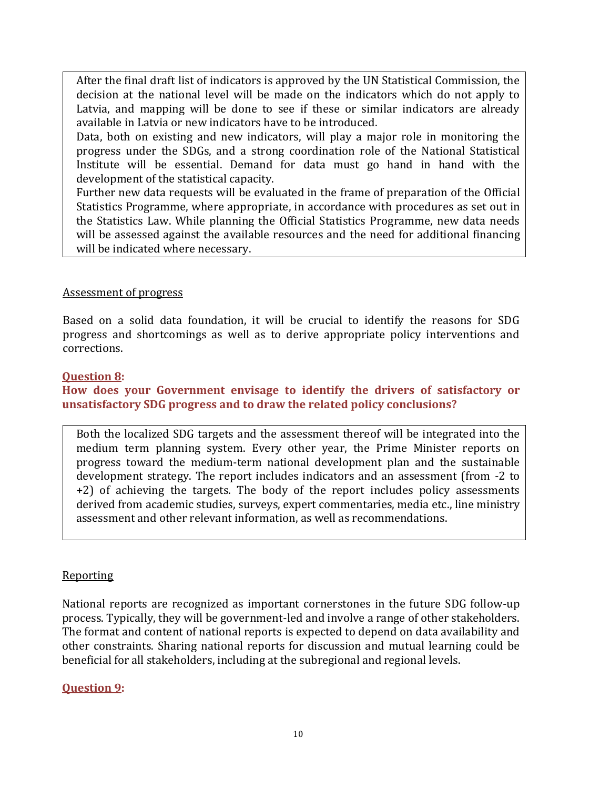After the final draft list of indicators is approved by the UN Statistical Commission, the decision at the national level will be made on the indicators which do not apply to Latvia, and mapping will be done to see if these or similar indicators are already available in Latvia or new indicators have to be introduced.

Data, both on existing and new indicators, will play a major role in monitoring the progress under the SDGs, and a strong coordination role of the National Statistical Institute will be essential. Demand for data must go hand in hand with the development of the statistical capacity.

Further new data requests will be evaluated in the frame of preparation of the Official Statistics Programme, where appropriate, in accordance with procedures as set out in the Statistics Law. While planning the Official Statistics Programme, new data needs will be assessed against the available resources and the need for additional financing will be indicated where necessary.

#### Assessment of progress

Based on a solid data foundation, it will be crucial to identify the reasons for SDG progress and shortcomings as well as to derive appropriate policy interventions and corrections.

#### **Question 8:**

### **How does your Government envisage to identify the drivers of satisfactory or unsatisfactory SDG progress and to draw the related policy conclusions?**

Both the localized SDG targets and the assessment thereof will be integrated into the medium term planning system. Every other year, the Prime Minister reports on progress toward the medium-term national development plan and the sustainable development strategy. The report includes indicators and an assessment (from -2 to +2) of achieving the targets. The body of the report includes policy assessments derived from academic studies, surveys, expert commentaries, media etc., line ministry assessment and other relevant information, as well as recommendations.

#### **Reporting**

National reports are recognized as important cornerstones in the future SDG follow-up process. Typically, they will be government-led and involve a range of other stakeholders. The format and content of national reports is expected to depend on data availability and other constraints. Sharing national reports for discussion and mutual learning could be beneficial for all stakeholders, including at the subregional and regional levels.

#### **Question 9:**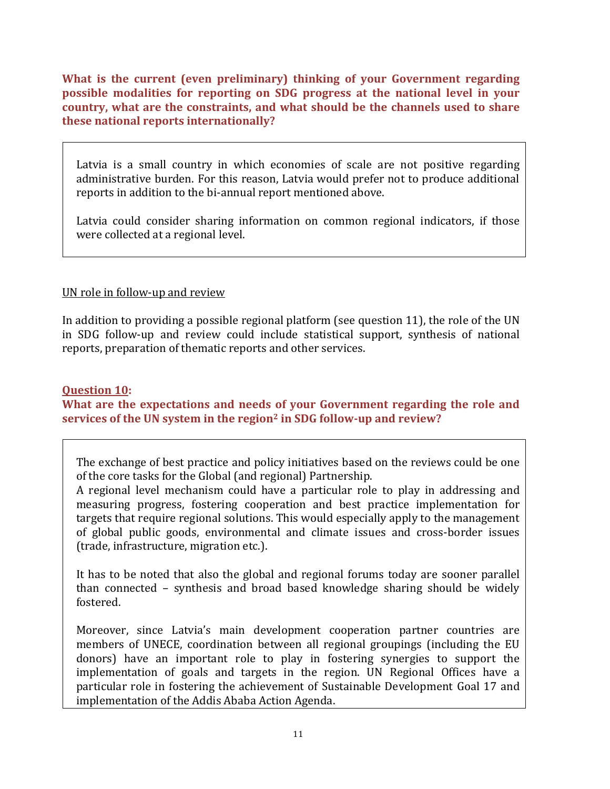**What is the current (even preliminary) thinking of your Government regarding possible modalities for reporting on SDG progress at the national level in your country, what are the constraints, and what should be the channels used to share these national reports internationally?** 

Latvia is a small country in which economies of scale are not positive regarding administrative burden. For this reason, Latvia would prefer not to produce additional reports in addition to the bi-annual report mentioned above.

Latvia could consider sharing information on common regional indicators, if those were collected at a regional level.

# UN role in follow-up and review

In addition to providing a possible regional platform (see question 11), the role of the UN in SDG follow-up and review could include statistical support, synthesis of national reports, preparation of thematic reports and other services.

# **Question 10:**

**What are the expectations and needs of your Government regarding the role and services of the UN system in the region<sup>2</sup> in SDG follow-up and review?**

The exchange of best practice and policy initiatives based on the reviews could be one of the core tasks for the Global (and regional) Partnership.

A regional level mechanism could have a particular role to play in addressing and measuring progress, fostering cooperation and best practice implementation for targets that require regional solutions. This would especially apply to the management of global public goods, environmental and climate issues and cross-border issues (trade, infrastructure, migration etc.).

It has to be noted that also the global and regional forums today are sooner parallel than connected – synthesis and broad based knowledge sharing should be widely fostered.

Moreover, since Latvia's main development cooperation partner countries are members of UNECE, coordination between all regional groupings (including the EU donors) have an important role to play in fostering synergies to support the implementation of goals and targets in the region. UN Regional Offices have a particular role in fostering the achievement of Sustainable Development Goal 17 and implementation of the Addis Ababa Action Agenda.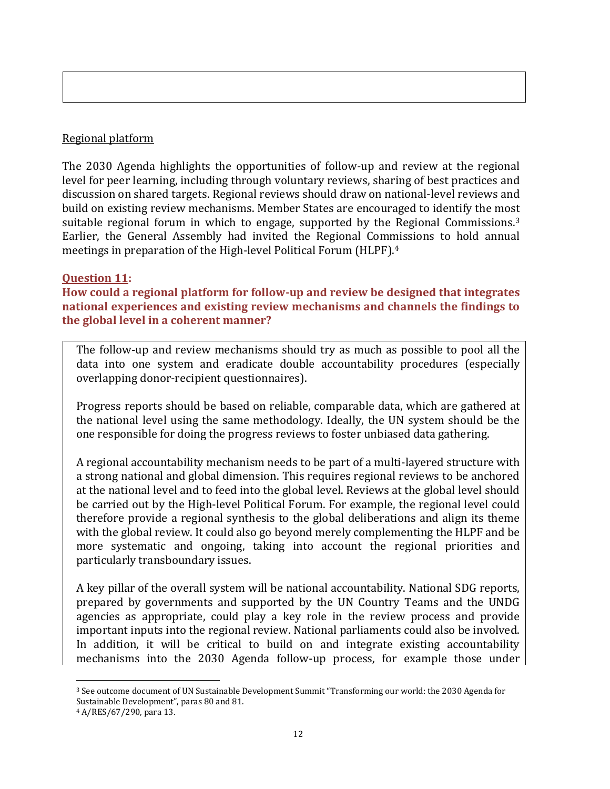# Regional platform

The 2030 Agenda highlights the opportunities of follow-up and review at the regional level for peer learning, including through voluntary reviews, sharing of best practices and discussion on shared targets. Regional reviews should draw on national-level reviews and build on existing review mechanisms. Member States are encouraged to identify the most suitable regional forum in which to engage, supported by the Regional Commissions.<sup>3</sup> Earlier, the General Assembly had invited the Regional Commissions to hold annual meetings in preparation of the High-level Political Forum (HLPF).<sup>4</sup>

# **Question 11:**

**How could a regional platform for follow-up and review be designed that integrates national experiences and existing review mechanisms and channels the findings to the global level in a coherent manner?** 

The follow-up and review mechanisms should try as much as possible to pool all the data into one system and eradicate double accountability procedures (especially overlapping donor-recipient questionnaires).

Progress reports should be based on reliable, comparable data, which are gathered at the national level using the same methodology. Ideally, the UN system should be the one responsible for doing the progress reviews to foster unbiased data gathering.

A regional accountability mechanism needs to be part of a multi-layered structure with a strong national and global dimension. This requires regional reviews to be anchored at the national level and to feed into the global level. Reviews at the global level should be carried out by the High-level Political Forum. For example, the regional level could therefore provide a regional synthesis to the global deliberations and align its theme with the global review. It could also go beyond merely complementing the HLPF and be more systematic and ongoing, taking into account the regional priorities and particularly transboundary issues.

A key pillar of the overall system will be national accountability. National SDG reports, prepared by governments and supported by the UN Country Teams and the UNDG agencies as appropriate, could play a key role in the review process and provide important inputs into the regional review. National parliaments could also be involved. In addition, it will be critical to build on and integrate existing accountability mechanisms into the 2030 Agenda follow-up process, for example those under

l <sup>3</sup> See outcome document of UN Sustainable Development Summit "Transforming our world: the 2030 Agenda for Sustainable Development", paras 80 and 81.

<sup>4</sup> A/RES/67/290, para 13.